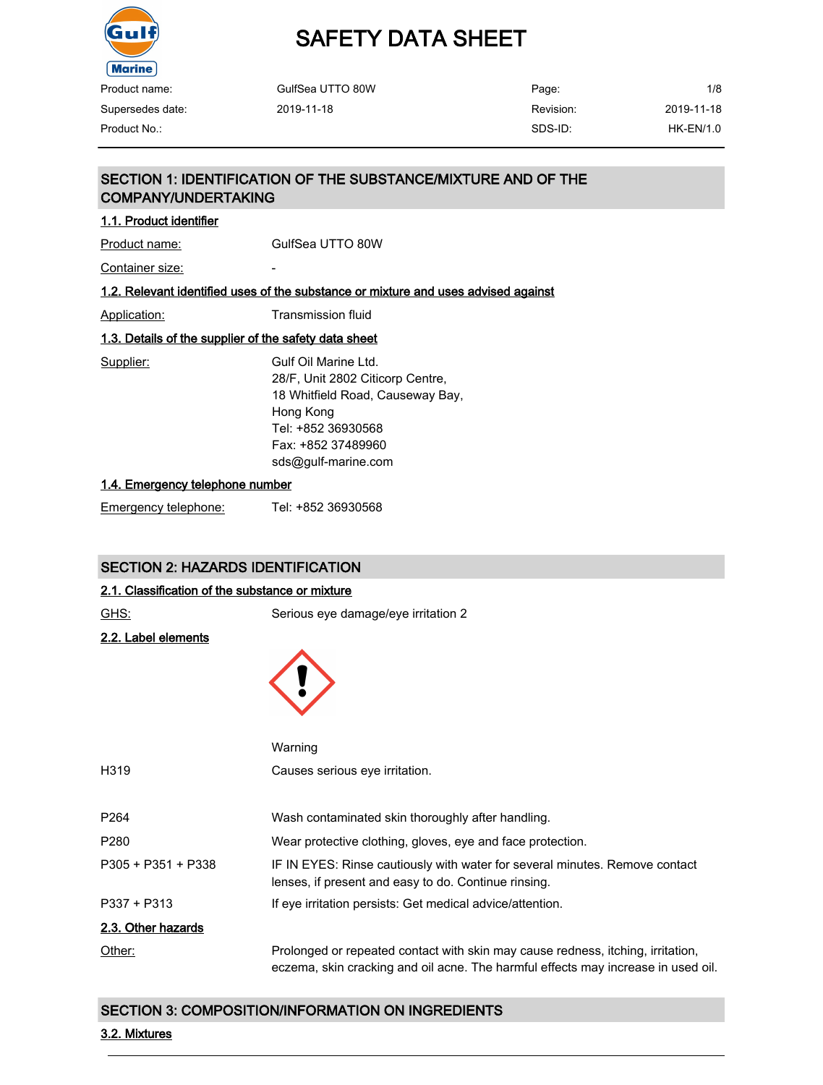

# SAFETY DATA SHEET

| Product name:    | GulfSea UTTO 80W | Page:     | 1/8         |
|------------------|------------------|-----------|-------------|
| Supersedes date: | 2019-11-18       | Revision: | 2019-11-18  |
| Product No.: .   |                  | SDS-ID:   | $HK-EN/1.0$ |

## SECTION 1: IDENTIFICATION OF THE SUBSTANCE/MIXTURE AND OF THE COMPANY/UNDERTAKING

## 1.1. Product identifier

Product name: GulfSea UTTO 80W

Container size:

## 1.2. Relevant identified uses of the substance or mixture and uses advised against

Application: Transmission fluid

## 1.3. Details of the supplier of the safety data sheet

Supplier: Gulf Oil Marine Ltd. 28/F, Unit 2802 Citicorp Centre, 18 Whitfield Road, Causeway Bay, Hong Kong Tel: +852 36930568 Fax: +852 37489960 sds@gulf-marine.com

#### 1.4. Emergency telephone number

Emergency telephone: Tel: +852 36930568

## SECTION 2: HAZARDS IDENTIFICATION

#### 2.1. Classification of the substance or mixture

| GHS:                       | Serious eye damage/eye irritation 2                                                                                                                                  |
|----------------------------|----------------------------------------------------------------------------------------------------------------------------------------------------------------------|
| <u>2.2. Label elements</u> |                                                                                                                                                                      |
|                            | Warning                                                                                                                                                              |
| H319                       | Causes serious eye irritation.                                                                                                                                       |
| P264                       | Wash contaminated skin thoroughly after handling.                                                                                                                    |
| P280                       | Wear protective clothing, gloves, eye and face protection.                                                                                                           |
| P305 + P351 + P338         | IF IN EYES: Rinse cautiously with water for several minutes. Remove contact<br>lenses, if present and easy to do. Continue rinsing.                                  |
| P337 + P313                | If eye irritation persists: Get medical advice/attention.                                                                                                            |
| 2.3. Other hazards         |                                                                                                                                                                      |
| Other:                     | Prolonged or repeated contact with skin may cause redness, itching, irritation,<br>eczema, skin cracking and oil acne. The harmful effects may increase in used oil. |

## SECTION 3: COMPOSITION/INFORMATION ON INGREDIENTS

#### 3.2. Mixtures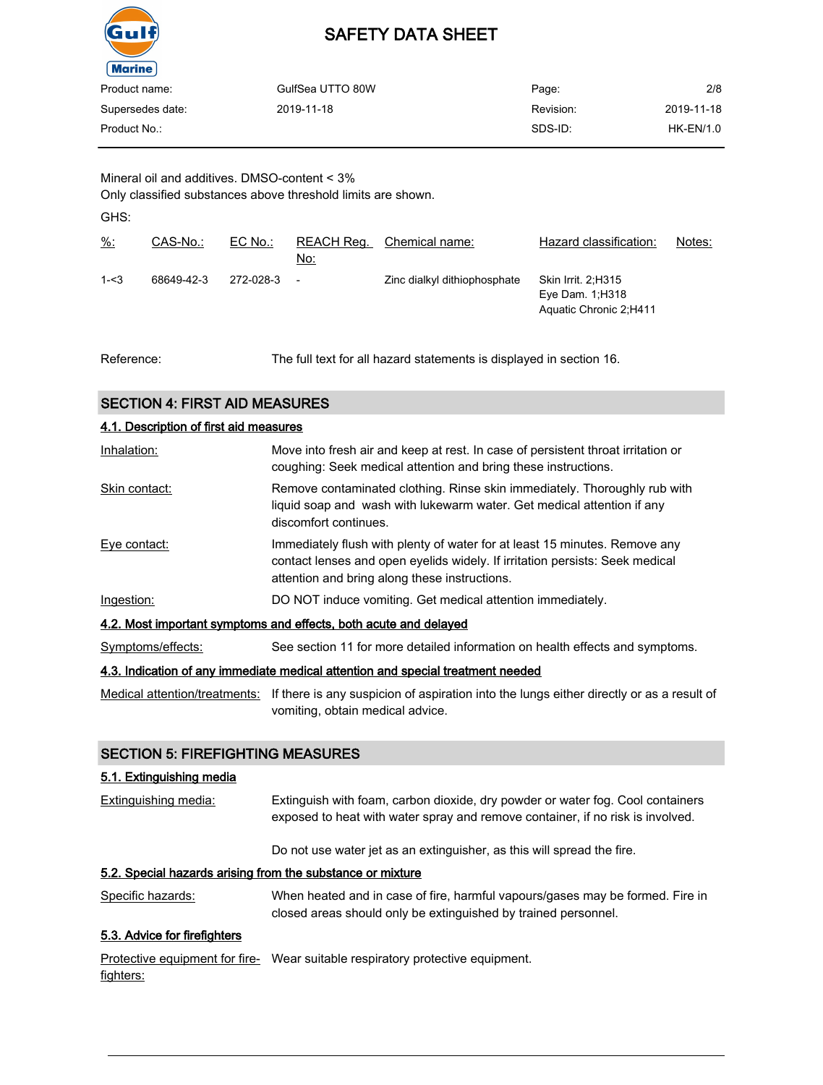

| Product name:    | GulfSea UTTO 80W | Page:     | 2/8        |
|------------------|------------------|-----------|------------|
| Supersedes date: | 2019-11-18       | Revision: | 2019-11-18 |
| Product No.:     |                  | SDS-ID:   | HK-EN/1.0  |
|                  |                  |           |            |

Mineral oil and additives. DMSO-content < 3%

Only classified substances above threshold limits are shown.

GHS:

| $\frac{9}{6}$ : | CAS-No.:   | $EC$ No.: | REACH Reg.<br>No:        | Chemical name:               | Hazard classification:                                                      | Notes: |
|-----------------|------------|-----------|--------------------------|------------------------------|-----------------------------------------------------------------------------|--------|
| $1 - 3$         | 68649-42-3 | 272-028-3 | $\overline{\phantom{a}}$ | Zinc dialkyl dithiophosphate | <b>Skin Irrit. 2, H315</b><br>Eye Dam. $1:$ H318<br>Aquatic Chronic 2, H411 |        |

Reference: The full text for all hazard statements is displayed in section 16.

## SECTION 4: FIRST AID MEASURES

| 4.1. Description of first aid measures                                          |                                                                                                                                                                                                             |  |  |  |
|---------------------------------------------------------------------------------|-------------------------------------------------------------------------------------------------------------------------------------------------------------------------------------------------------------|--|--|--|
| Inhalation:                                                                     | Move into fresh air and keep at rest. In case of persistent throat irritation or<br>coughing: Seek medical attention and bring these instructions.                                                          |  |  |  |
| Skin contact:                                                                   | Remove contaminated clothing. Rinse skin immediately. Thoroughly rub with<br>liquid soap and wash with lukewarm water. Get medical attention if any<br>discomfort continues.                                |  |  |  |
| Eye contact:                                                                    | Immediately flush with plenty of water for at least 15 minutes. Remove any<br>contact lenses and open eyelids widely. If irritation persists: Seek medical<br>attention and bring along these instructions. |  |  |  |
| Ingestion:                                                                      | DO NOT induce vomiting. Get medical attention immediately.                                                                                                                                                  |  |  |  |
| 4.2. Most important symptoms and effects, both acute and delayed                |                                                                                                                                                                                                             |  |  |  |
| Symptoms/effects:                                                               | See section 11 for more detailed information on health effects and symptoms.                                                                                                                                |  |  |  |
| 4.3. Indication of any immediate medical attention and special treatment needed |                                                                                                                                                                                                             |  |  |  |

Medical attention/treatments: If there is any suspicion of aspiration into the lungs either directly or as a result of vomiting, obtain medical advice.

## SECTION 5: FIREFIGHTING MEASURES

## 5.1. Extinguishing media

Extinguishing media: Extinguish with foam, carbon dioxide, dry powder or water fog. Cool containers exposed to heat with water spray and remove container, if no risk is involved.

Do not use water jet as an extinguisher, as this will spread the fire.

## 5.2. Special hazards arising from the substance or mixture

Specific hazards: When heated and in case of fire, harmful vapours/gases may be formed. Fire in closed areas should only be extinguished by trained personnel.

## 5.3. Advice for firefighters

Protective equipment for fire- Wear suitable respiratory protective equipment. fighters: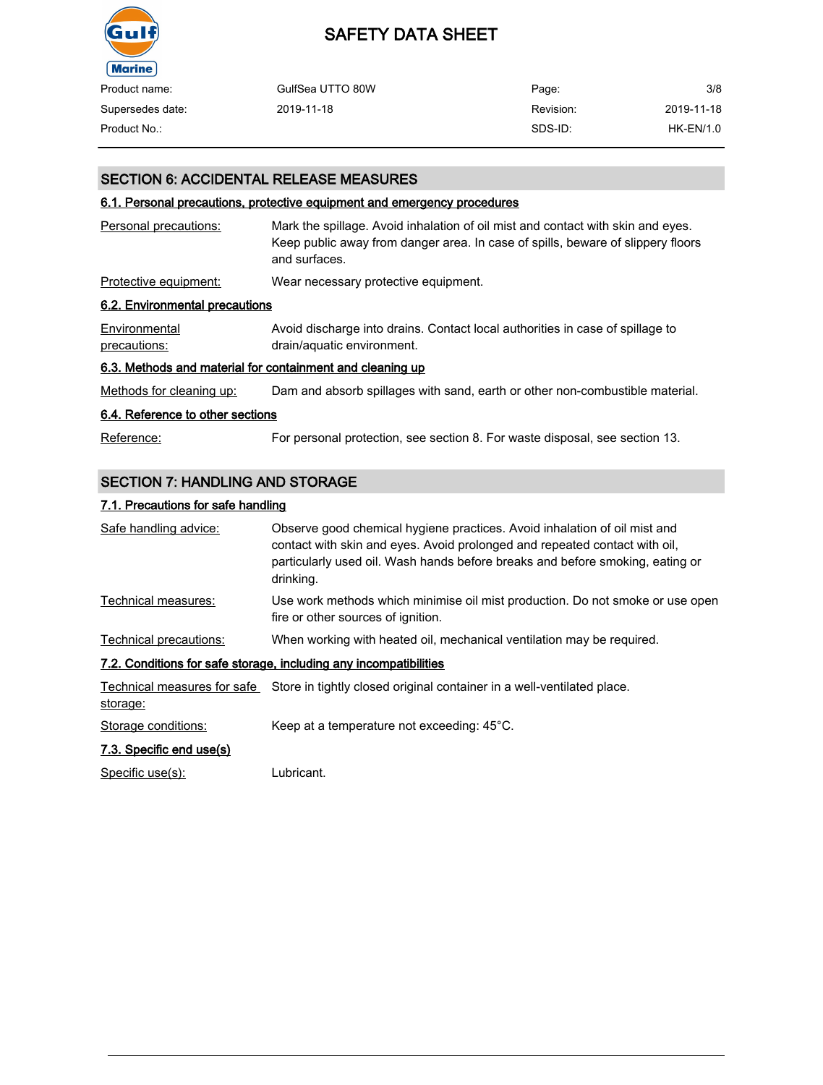

| Product name:    | GulfSea UTTO 80W | Page:     | 3/8        |
|------------------|------------------|-----------|------------|
| Supersedes date: | 2019-11-18       | Revision: | 2019-11-18 |
| Product No.:     |                  | SDS-ID:   | HK-EN/1.0  |

## SECTION 6: ACCIDENTAL RELEASE MEASURES

## 6.1. Personal precautions, protective equipment and emergency procedures

| Personal precautions:                                     | Mark the spillage. Avoid inhalation of oil mist and contact with skin and eyes.<br>Keep public away from danger area. In case of spills, beware of slippery floors<br>and surfaces. |
|-----------------------------------------------------------|-------------------------------------------------------------------------------------------------------------------------------------------------------------------------------------|
| Protective equipment:                                     | Wear necessary protective equipment.                                                                                                                                                |
| 6.2. Environmental precautions                            |                                                                                                                                                                                     |
| Environmental<br>precautions:                             | Avoid discharge into drains. Contact local authorities in case of spillage to<br>drain/aquatic environment.                                                                         |
| 6.3. Methods and material for containment and cleaning up |                                                                                                                                                                                     |
| Methods for cleaning up:                                  | Dam and absorb spillages with sand, earth or other non-combustible material.                                                                                                        |
| 6.4. Reference to other sections                          |                                                                                                                                                                                     |
| Reference:                                                | For personal protection, see section 8. For waste disposal, see section 13.                                                                                                         |

## SECTION 7: HANDLING AND STORAGE

## 7.1. Precautions for safe handling

| Safe handling advice:    | Observe good chemical hygiene practices. Avoid inhalation of oil mist and<br>contact with skin and eyes. Avoid prolonged and repeated contact with oil,<br>particularly used oil. Wash hands before breaks and before smoking, eating or<br>drinking. |
|--------------------------|-------------------------------------------------------------------------------------------------------------------------------------------------------------------------------------------------------------------------------------------------------|
| Technical measures:      | Use work methods which minimise oil mist production. Do not smoke or use open<br>fire or other sources of ignition.                                                                                                                                   |
| Technical precautions:   | When working with heated oil, mechanical ventilation may be required.                                                                                                                                                                                 |
|                          | 7.2. Conditions for safe storage, including any incompatibilities                                                                                                                                                                                     |
| storage:                 | Technical measures for safe Store in tightly closed original container in a well-ventilated place.                                                                                                                                                    |
| Storage conditions:      | Keep at a temperature not exceeding: 45°C.                                                                                                                                                                                                            |
| 7.3. Specific end use(s) |                                                                                                                                                                                                                                                       |

Specific use(s): Lubricant.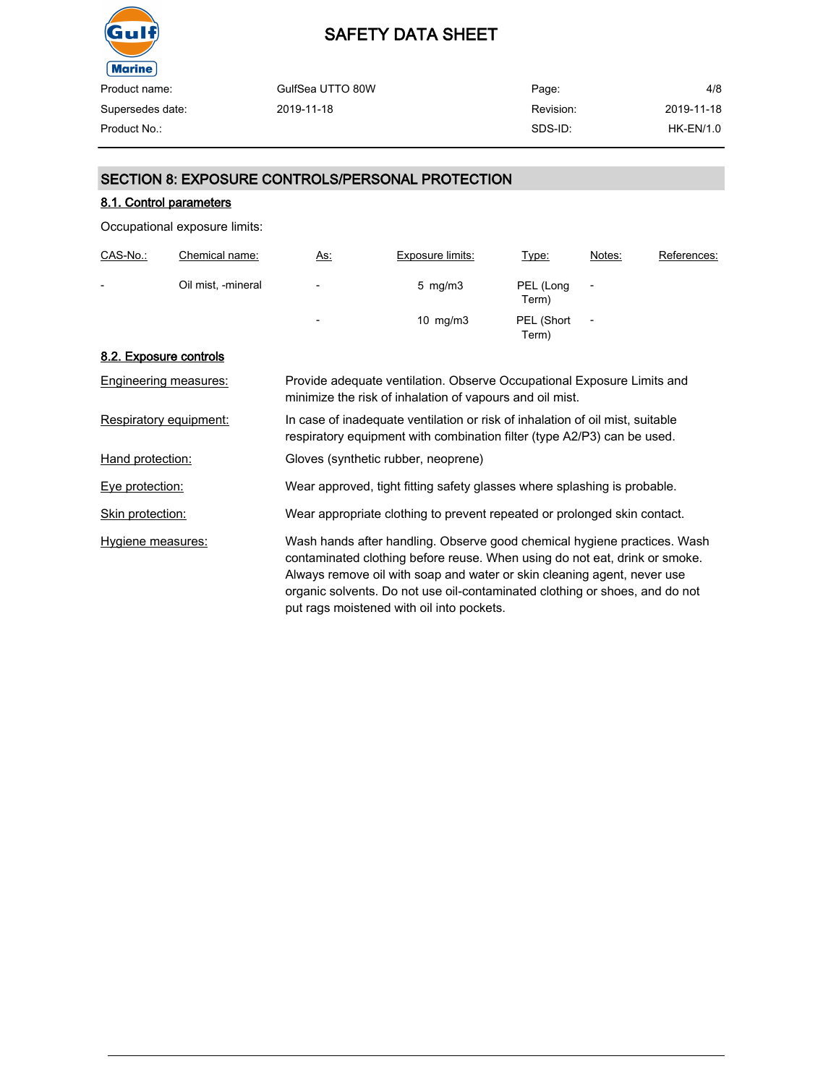

| Product name:    | GulfSea UTTO 80W | Page:     | 4/8        |
|------------------|------------------|-----------|------------|
| Supersedes date: | 2019-11-18       | Revision: | 2019-11-18 |
| Product No.:     |                  | SDS-ID:   | HK-EN/1.0  |

## SECTION 8: EXPOSURE CONTROLS/PERSONAL PROTECTION

## 8.1. Control parameters

Occupational exposure limits:

| CAS-No.:                 | Chemical name:     | <u>As.</u>               | <b>Exposure limits:</b> | <u>Type:</u>        | Notes:                   | References: |
|--------------------------|--------------------|--------------------------|-------------------------|---------------------|--------------------------|-------------|
| $\overline{\phantom{0}}$ | Oil mist, -mineral | -                        | $5 \, \text{mg/m}$ 3    | PEL (Long<br>Term)  | $\overline{\phantom{a}}$ |             |
|                          |                    | $\overline{\phantom{a}}$ | 10 $mg/m3$              | PEL (Short<br>Term) | $\overline{\phantom{a}}$ |             |

## 8.2. Exposure controls

| Engineering measures:  | Provide adequate ventilation. Observe Occupational Exposure Limits and<br>minimize the risk of inhalation of vapours and oil mist.                                                                                                                                                                                                                            |
|------------------------|---------------------------------------------------------------------------------------------------------------------------------------------------------------------------------------------------------------------------------------------------------------------------------------------------------------------------------------------------------------|
| Respiratory equipment: | In case of inadequate ventilation or risk of inhalation of oil mist, suitable<br>respiratory equipment with combination filter (type A2/P3) can be used.                                                                                                                                                                                                      |
| Hand protection:       | Gloves (synthetic rubber, neoprene)                                                                                                                                                                                                                                                                                                                           |
| Eye protection:        | Wear approved, tight fitting safety glasses where splashing is probable.                                                                                                                                                                                                                                                                                      |
| Skin protection:       | Wear appropriate clothing to prevent repeated or prolonged skin contact.                                                                                                                                                                                                                                                                                      |
| Hygiene measures:      | Wash hands after handling. Observe good chemical hygiene practices. Wash<br>contaminated clothing before reuse. When using do not eat, drink or smoke.<br>Always remove oil with soap and water or skin cleaning agent, never use<br>organic solvents. Do not use oil-contaminated clothing or shoes, and do not<br>put rags moistened with oil into pockets. |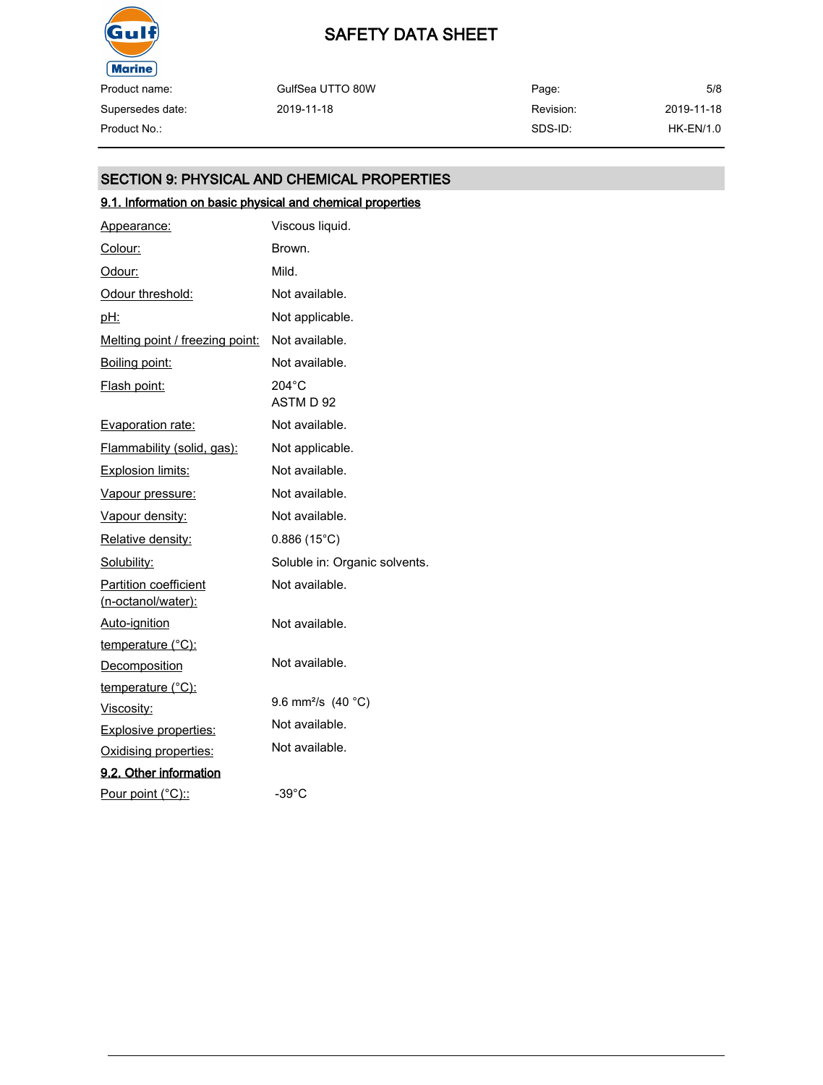

Product name: Supersedes date:

Page: Revision: SDS-ID: Product No.: HK-EN/1.0

5/8 2019-11-18

## SECTION 9: PHYSICAL AND CHEMICAL PROPERTIES

GulfSea UTTO 80W

2019-11-18

## 9.1. Information on basic physical and chemical properties

| Appearance:                                        | Viscous liquid.                  |
|----------------------------------------------------|----------------------------------|
| Colour:                                            | Brown.                           |
| Odour:                                             | Mild.                            |
| Odour threshold:                                   | Not available.                   |
| pH:                                                | Not applicable.                  |
| Melting point / freezing point:                    | Not available.                   |
| Boiling point:                                     | Not available.                   |
| Flash point:                                       | $204^{\circ}$ C<br>ASTM D 92     |
| Evaporation rate:                                  | Not available.                   |
| Flammability (solid, gas):                         | Not applicable.                  |
| <b>Explosion limits:</b>                           | Not available.                   |
| Vapour pressure:                                   | Not available.                   |
| Vapour density:                                    | Not available.                   |
| <u>Relative density:</u>                           | $0.886(15^{\circ}C)$             |
| Solubility:                                        | Soluble in: Organic solvents.    |
| <b>Partition coefficient</b><br>(n-octanol/water): | Not available.                   |
| Auto-ignition                                      | Not available.                   |
| temperature (°C):                                  |                                  |
| Decomposition                                      | Not available.                   |
| temperature (°C):                                  |                                  |
| Viscosity:                                         | 9.6 mm <sup>2</sup> /s $(40 °C)$ |
| <b>Explosive properties:</b>                       | Not available.                   |
| Oxidising properties:                              | Not available.                   |
| 9.2. Other information                             |                                  |
| Pour point (°C)::                                  | $-39^{\circ}$ C                  |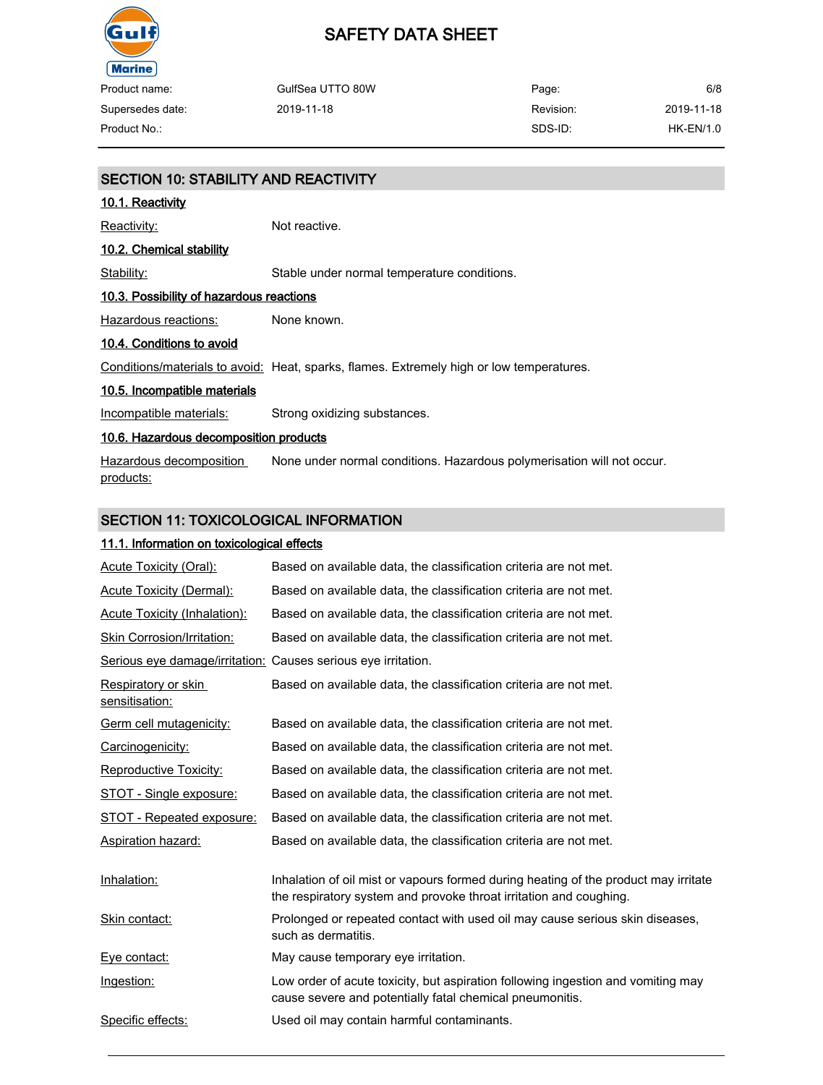

products:

## SAFETY DATA SHEET

| Product name:    | GulfSea UTTO 80W | Page:     | 6/8         |
|------------------|------------------|-----------|-------------|
| Supersedes date: | 2019-11-18       | Revision: | 2019-11-18  |
| Product No.:     |                  | SDS-ID:   | $HK-EN/1.0$ |

| <b>SECTION 10: STABILITY AND REACTIVITY</b> |                                                                                          |  |
|---------------------------------------------|------------------------------------------------------------------------------------------|--|
| 10.1. Reactivity                            |                                                                                          |  |
| Reactivity:                                 | Not reactive.                                                                            |  |
| 10.2. Chemical stability                    |                                                                                          |  |
| Stability:                                  | Stable under normal temperature conditions.                                              |  |
| 10.3. Possibility of hazardous reactions    |                                                                                          |  |
| Hazardous reactions:                        | None known.                                                                              |  |
| 10.4. Conditions to avoid                   |                                                                                          |  |
|                                             | Conditions/materials to avoid: Heat, sparks, flames. Extremely high or low temperatures. |  |
| 10.5. Incompatible materials                |                                                                                          |  |
| Incompatible materials:                     | Strong oxidizing substances.                                                             |  |
| 10.6. Hazardous decomposition products      |                                                                                          |  |
| Hazardous decomposition                     | None under normal conditions. Hazardous polymerisation will not occur.                   |  |

## SECTION 11: TOXICOLOGICAL INFORMATION

### 11.1. Information on toxicological effects

| <b>Acute Toxicity (Oral):</b>                                 | Based on available data, the classification criteria are not met.                                                                                         |
|---------------------------------------------------------------|-----------------------------------------------------------------------------------------------------------------------------------------------------------|
| Acute Toxicity (Dermal):                                      | Based on available data, the classification criteria are not met.                                                                                         |
| Acute Toxicity (Inhalation):                                  | Based on available data, the classification criteria are not met.                                                                                         |
| Skin Corrosion/Irritation:                                    | Based on available data, the classification criteria are not met.                                                                                         |
| Serious eye damage/irritation: Causes serious eye irritation. |                                                                                                                                                           |
| Respiratory or skin<br>sensitisation:                         | Based on available data, the classification criteria are not met.                                                                                         |
| Germ cell mutagenicity:                                       | Based on available data, the classification criteria are not met.                                                                                         |
| Carcinogenicity:                                              | Based on available data, the classification criteria are not met.                                                                                         |
| <b>Reproductive Toxicity:</b>                                 | Based on available data, the classification criteria are not met.                                                                                         |
| STOT - Single exposure:                                       | Based on available data, the classification criteria are not met.                                                                                         |
| STOT - Repeated exposure:                                     | Based on available data, the classification criteria are not met.                                                                                         |
| Aspiration hazard:                                            | Based on available data, the classification criteria are not met.                                                                                         |
| Inhalation:                                                   | Inhalation of oil mist or vapours formed during heating of the product may irritate<br>the respiratory system and provoke throat irritation and coughing. |
| Skin contact:                                                 | Prolonged or repeated contact with used oil may cause serious skin diseases,<br>such as dermatitis.                                                       |
| Eye contact:                                                  | May cause temporary eye irritation.                                                                                                                       |
| Ingestion:                                                    | Low order of acute toxicity, but aspiration following ingestion and vomiting may<br>cause severe and potentially fatal chemical pneumonitis.              |
| Specific effects:                                             | Used oil may contain harmful contaminants.                                                                                                                |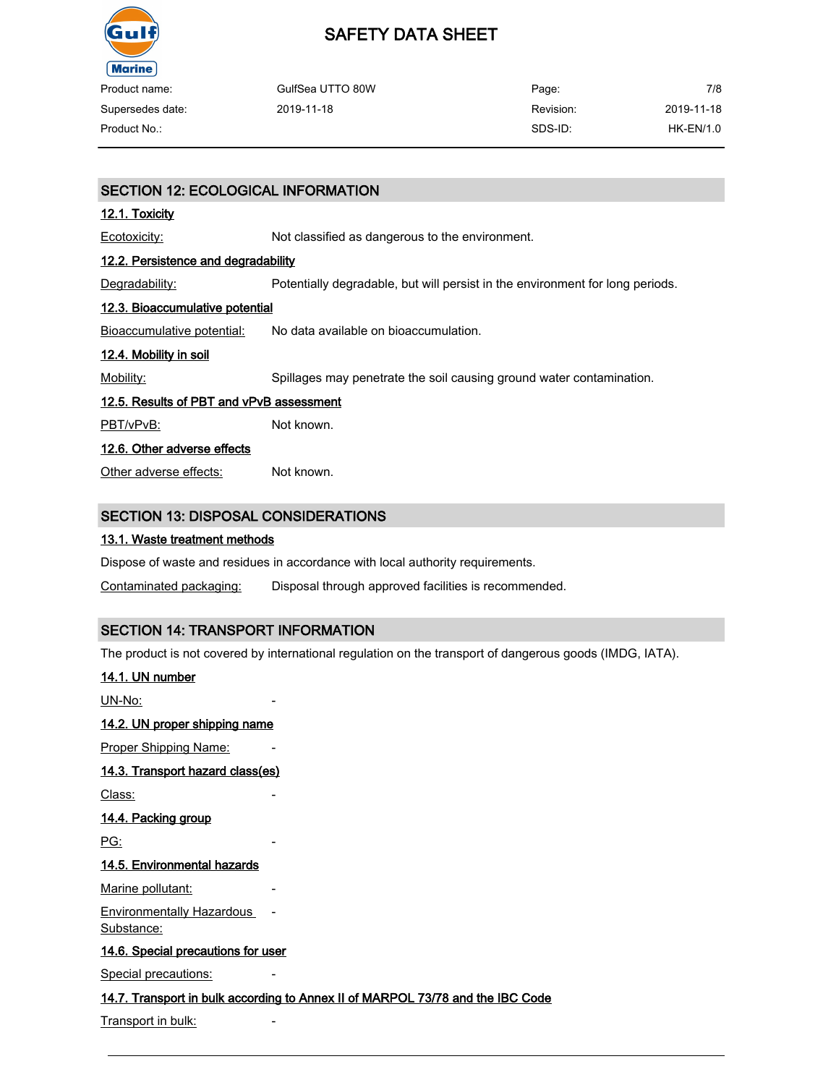

| Product name:    | GulfSea UTTO 80W | Page:     | 7/8        |
|------------------|------------------|-----------|------------|
| Supersedes date: | 2019-11-18       | Revision: | 2019-11-18 |
| Product No.:     |                  | SDS-ID:   | HK-EN/1.0  |

## SECTION 12: ECOLOGICAL INFORMATION

### 12.1. Toxicity

Ecotoxicity: Not classified as dangerous to the environment.

### 12.2. Persistence and degradability

Degradability: Potentially degradable, but will persist in the environment for long periods.

## 12.3. Bioaccumulative potential

Bioaccumulative potential: No data available on bioaccumulation.

### 12.4. Mobility in soil

Mobility: Spillages may penetrate the soil causing ground water contamination.

### 12.5. Results of PBT and vPvB assessment

PBT/vPvB: Not known.

### 12.6. Other adverse effects

Other adverse effects: Not known.

## SECTION 13: DISPOSAL CONSIDERATIONS

### 13.1. Waste treatment methods

Dispose of waste and residues in accordance with local authority requirements.

Contaminated packaging: Disposal through approved facilities is recommended.

## SECTION 14: TRANSPORT INFORMATION

The product is not covered by international regulation on the transport of dangerous goods (IMDG, IATA).

### 14.1. UN number

UN-No:

#### 14.2. UN proper shipping name

Proper Shipping Name:

#### 14.3. Transport hazard class(es)

Class:

#### 14.4. Packing group

PG:

## 14.5. Environmental hazards

Marine pollutant:

Environmentally Hazardous Substance:

#### 14.6. Special precautions for user

Special precautions:

#### 14.7. Transport in bulk according to Annex II of MARPOL 73/78 and the IBC Code

-

Transport in bulk: